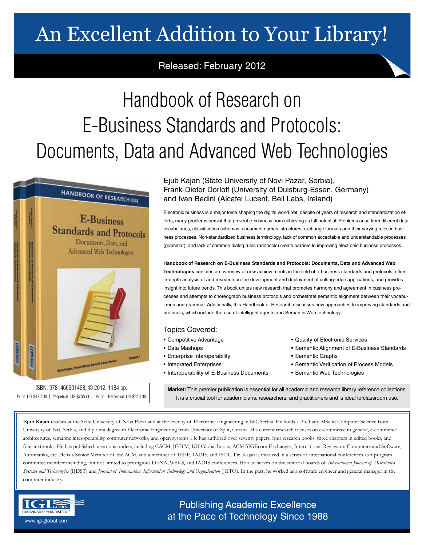# An Excellent Addition to Your Library!

# Released: February 2012

# Handbook of Research on E-Business Standards and Protocols: Documents, Data and Advanced Web Technologies



ISBN: 9781466601468; © 2012; 1184 pp. Print: US \$470.00 | Perpetual: US \$705.00 | Print + Perpetual: US \$940.00

## Ejub Kajan (State University of Novi Pazar, Serbia), Frank-Dieter Dorloff (University of Duisburg-Essen, Germany) and Ivan Bedini (Alcatel Lucent, Bell Labs, Ireland)

Electronic business is a major force shaping the digital world. Yet, despite of years of research and standardization efforts, many problems persist that prevent e-business from achieving its full potential. Problems arise from different data vocabularies, classification schemas, document names, structures, exchange formats and their varying roles in business processes. Non-standardized business terminology, lack of common acceptable and understandable processes (grammar), and lack of common dialog rules (protocols) create barriers to improving electronic business processes.

## **Handbook of Research on E-Business Standards and Protocols: Documents, Data and Advanced Web**

**Technologies** contains an overview of new achievements in the field of e-business standards and protocols, offers in-depth analysis of and research on the development and deployment of cutting-edge applications, and provides insight into future trends. This book unites new research that promotes harmony and agreement in business processes and attempts to choreograph business protocols and orchestrate semantic alignment between their vocabularies and grammar. Additionally, this Handbook of Research discusses new approaches to improving standards and protocols, which include the use of intelligent agents and Semantic Web technology.

## Topics Covered:

- Competitive Advantage
- Data Mashups
- Enterprise Interoperability
- Integrated Enterprises
- Interoperability of E-Business Documents
- Quality of Electronic Services
- Semantic Alignment of E-Business Standards
- Semantic Graphs
- Semantic Verification of Process Models
- Semantic Web Technologies

**Market:** This premier publication is essential for all academic and research library reference collections. It is a crucial tool for academicians, researchers, and practitioners and is ideal forclassroom use.

**Ejub Kajan** teaches at the State University of Novi Pazar and at the Faculty of Electronic Engineering in Niš, Serbia. He holds a PhD and MSc in Computer Science from University of Niš, Serbia, and diploma degree in Electronic Engineering from University of Split, Croatia. His current research focuses on e-commerce in general, e-commerce architectures, semantic interoperability, computer networks, and open systems. He has authored over seventy papers, four research books, three chapters in edited books, and four textbooks. He has published in various outlets, including CACM, JGITM, IGI Global books, ACM SIGEcom Exchanges, International Review on Computers and Software, Automatika, etc. He is a Senior Member of the ACM, and a member of IEEE, IADIS, and ISOC. Dr. Kajan is involved in a series of international conferences as a program committee member including, but not limited to prestigious DEXA, WSKS, and IADIS conferences. He also serves on the editorial boards of *International Journal of Distributed Systems and Technologies* (IJDST) and *Journal of Information, Information Technology and Organization* (JIITO). In the past, he worked as a software engineer and general manager in the computer industry.



Publishing Academic Excellence **ALSEMINATOR OF KNOWLEDGE CONCEDUTE CONCEDUTE CONCEDUTE CONCEDUTE CONCEDUTE CONCEDUTE CONCEDUTE CONCEDUTE CONCE**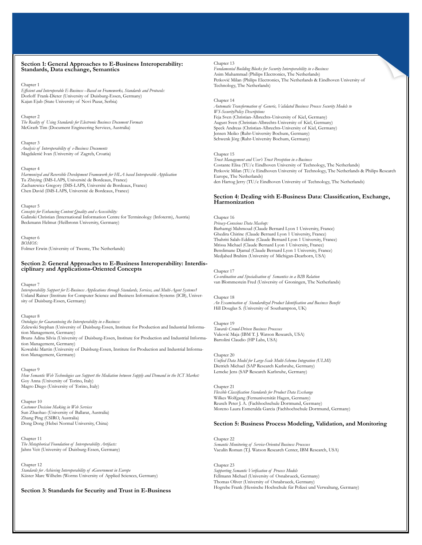#### **Section 1: General Approaches to E-Business Interoperability: Standards, Data exchange, Semantics**

#### Chapter 1

*Efficient and Interoperable E-Business –Based on Frameworks, Standards and Protocols:* Dorloff Frank-Dieter (University of Duisburg-Essen, Germany) Kajan Ejub (State University of Novi Pazar, Serbia)

Chapter 2

*The Reality of Using Standards for Electronic Business Document Formats* McGrath Tim (Document Engineering Services, Australia)

Chapter 3 *Analysis of Interoperability of e-Business Documents* Magdalenić Ivan (University of Zagreb, Croatia)

#### Chapter 4

*Harmonized and Reversible Development Framework for HLA based Interoperable Application* Tu Zhiying (IMS-LAPS, Université de Bordeaux, France) Zacharewicz Gregory (IMS-LAPS, Université de Bordeaux, France) Chen David (IMS-LAPS, Université de Bordeaux, France)

#### Chapter 5

*Concepts for Enhancing Content Quality and eAccessibility:* Galinski Christian (International Information Centre for Terminology (Infoterm), Austria) Beckmann Helmut (Heilbronn University, Germany)

Chapter 6 *BOMOS:* Folmer Erwin (University of Twente, The Netherlands)

# **Section 2: General Approaches to E-Business Interoperability: Interdis- ciplinary and Applications-Oriented Concepts**

#### Chapter 7

*Interoperability Support for E-Business Applications through Standards, Services, and Multi-Agent Systems1* Unland Rainer (Institute for Computer Science and Business Information Systems (ICB), University of Duisburg-Essen, Germany)

#### Chapter 8

*Ontologies for Guaranteeing the Interoperability in e-Business:* Zelewski Stephan (University of Duisburg-Essen, Institute for Production and Industrial Information Management, Germany) Bruns Adina Silvia (University of Duisburg-Essen, Institute for Production and Industrial Information Management, Germany)

Kowalski Martin (University of Duisburg-Essen, Institute for Production and Industrial Information Management, Germany)

#### Chapter 9

*How Semantic Web Technologies can Support the Mediation between Supply and Demand in the ICT Market:* Goy Anna (University of Torino, Italy) Magro Diego (University of Torino, Italy)

#### Chapter 10

*Customer Decision Making in Web Services* Sun Zhaohao (University of Ballarat, Australia) Zhang Ping (CSIRO, Australia) Dong Dong (Hebei Normal University, China)

Chapter 11 *The Metaphorical Foundation of Interoperability Artifacts:* Jahns Veit (University of Duisburg-Essen, Germany)

#### Chapter 12

*Standards for Achieving Interoperability of eGovernment in Europe* Küster Marc Wilhelm (Worms University of Applied Sciences, Germany)

#### **Section 3: Standards for Security and Trust in E-Business**

#### Chapter 13

*Fundamental Building Blocks for Security Interoperability in e-Business* Asim Muhammad (Philips Electronics, The Netherlands) Petković Milan (Philips Electronics, The Netherlands & Eindhoven University of Technology, The Netherlands)

#### Chapter 14

*Automatic Transformation of Generic, Validated Business Process Security Models to WS-SecurityPolicy Descriptions* Feja Sven (Christian-Albrechts-University of Kiel, Germany) August Sven (Christian-Albrechts-University of Kiel, Germany) Speck Andreas (Christian-Albrechts-University of Kiel, Germany) Jensen Meiko (Ruhr-University Bochum, Germany) Schwenk Jörg (Ruhr-University Bochum, Germany)

#### Chapter 15

*Trust Management and User's Trust Perception in e-Business* Costante Elisa (TU/e Eindhoven University of Technology, The Netherlands) Petkovic Milan (TU/e Eindhoven University of Technology, The Netherlands & Philips Research Europe, The Netherlands) den Hartog Jerry (TU/e Eindhoven University of Technology, The Netherlands)

#### **Section 4: Dealing with E-Business Data: Classification, Exchange, Harmonization**

#### Chapter 16

*Privacy-Conscious Data Mashup:* Barhamgi Mahmoud (Claude Bernard Lyon 1 University, France) Ghedira Chirine (Claude Bernard Lyon 1 University, France) Tbahriti Salah-Eddine (Claude Bernard Lyon 1 University, France) Mrissa Michael (Claude Bernard Lyon 1 University, France) Benslimane Djamal (Claude Bernard Lyon 1 University, France) Medjahed Brahim (University of Michigan-Dearborn, USA)

#### Chapter 17

*Co-ordination and Specialisation of Semantics in a B2B Relation* van Blommestein Fred (University of Groningen, The Netherlands)

#### Chapter 18

*An Examination of Standardized Product Identification and Business Benefit* Hill Douglas S. (University of Southampton, UK)

#### Chapter 19

*Towards Crowd-Driven Business Processes* Vuković Maja (IBM T. J. Watson Research, USA) Bartolini Claudio (HP Labs, USA)

#### Chapter 20

*Unified Data Model for Large-Scale Multi-Schema Integration (ULMI)* Dietrich Michael (SAP Research Karlsruhe, Germany) Lemcke Jens (SAP Research Karlsruhe, Germany)

#### Chapter 21 *Flexible Classification Standards for Product Data Exchange* Wilkes Wolfgang (Fernuniversität Hagen, Germany) Reusch Peter J. A. (Fachhochschule Dortmund, Germany) Moreno Laura Esmeralda Garcia (Fachhochschule Dortmund, Germany)

#### **Section 5: Business Process Modeling, Validation, and Monitoring**

Chapter 22 *Semantic Monitoring of Service-Oriented Business Processes* Vaculín Roman (T.J. Watson Research Center, IBM Research, USA)

Chapter 23 *Supporting Semantic Verification of Process Models* Fellmann Michael (University of Osnabrueck, Germany) Thomas Oliver (University of Osnabrueck, Germany) Hogrebe Frank (Hessische Hochschule für Polizei und Verwaltung, Germany)